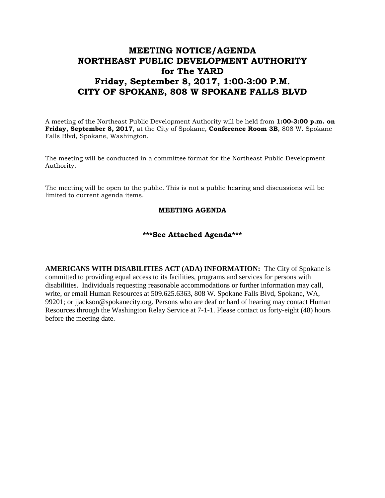## **MEETING NOTICE/AGENDA NORTHEAST PUBLIC DEVELOPMENT AUTHORITY for The YARD Friday, September 8, 2017, 1:00-3:00 P.M. CITY OF SPOKANE, 808 W SPOKANE FALLS BLVD**

A meeting of the Northeast Public Development Authority will be held from **1:00-3:00 p.m. on Friday, September 8, 2017**, at the City of Spokane, **Conference Room 3B**, 808 W. Spokane Falls Blvd, Spokane, Washington.

The meeting will be conducted in a committee format for the Northeast Public Development Authority.

The meeting will be open to the public. This is not a public hearing and discussions will be limited to current agenda items.

## **MEETING AGENDA**

## **\*\*\*See Attached Agenda\*\*\***

**AMERICANS WITH DISABILITIES ACT (ADA) INFORMATION:** The City of Spokane is committed to providing equal access to its facilities, programs and services for persons with disabilities. Individuals requesting reasonable accommodations or further information may call, write, or email Human Resources at 509.625.6363, 808 W. Spokane Falls Blvd, Spokane, WA, 99201; or jjackson@spokanecity.org. Persons who are deaf or hard of hearing may contact Human Resources through the Washington Relay Service at 7-1-1. Please contact us forty-eight (48) hours before the meeting date.